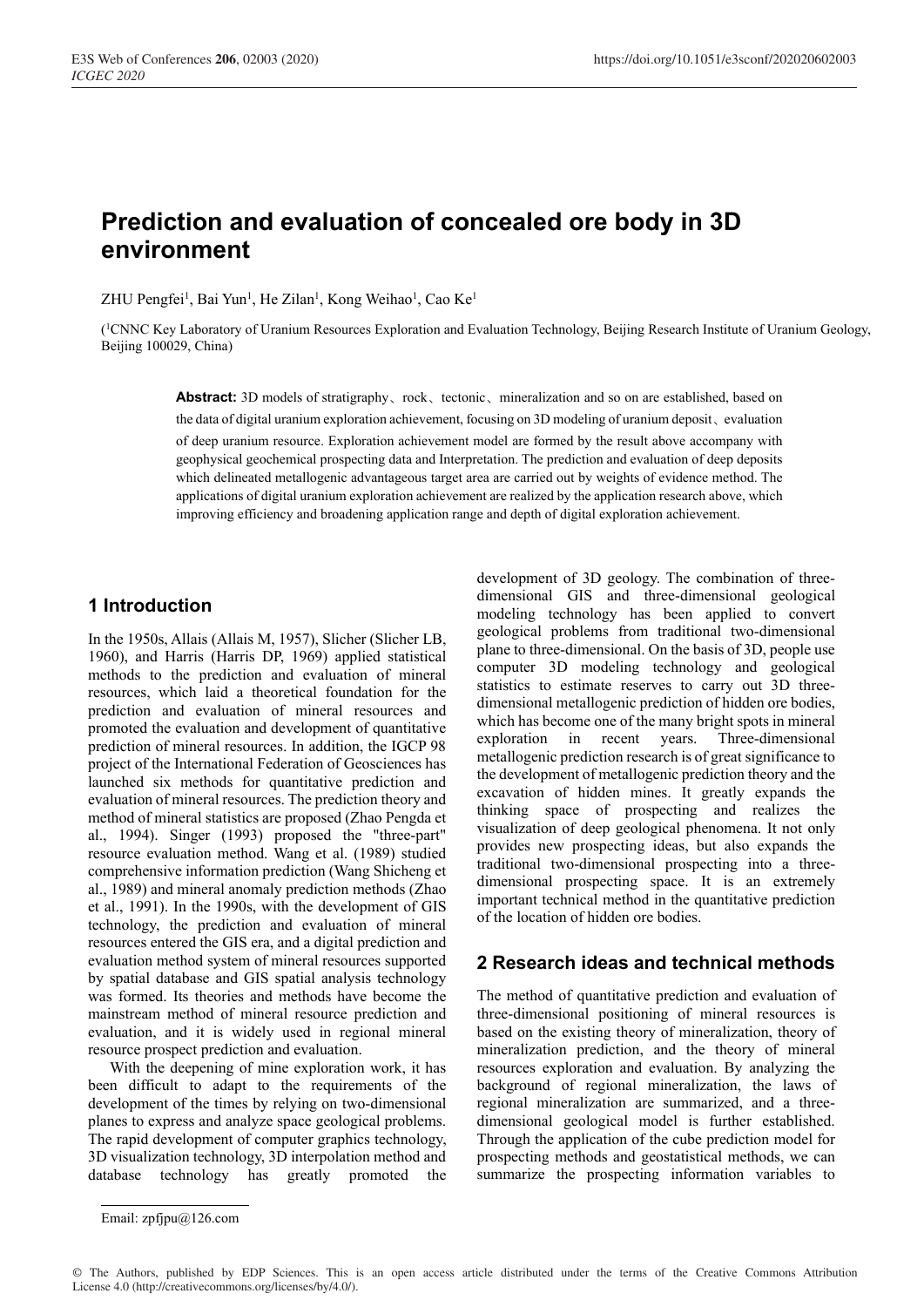# **Prediction and evaluation of concealed ore body in 3D environment**

ZHU Pengfei<sup>1</sup>, Bai Yun<sup>1</sup>, He Zilan<sup>1</sup>, Kong Weihao<sup>1</sup>, Cao Ke<sup>1</sup>

(1CNNC Key Laboratory of Uranium Resources Exploration and Evaluation Technology, Beijing Research Institute of Uranium Geology, Beijing 100029, China)

**Abstract:** 3D models of stratigraphy、rock、tectonic、mineralization and so on are established, based on the data of digital uranium exploration achievement, focusing on 3D modeling of uranium deposit、evaluation of deep uranium resource. Exploration achievement model are formed by the result above accompany with geophysical geochemical prospecting data and Interpretation. The prediction and evaluation of deep deposits which delineated metallogenic advantageous target area are carried out by weights of evidence method. The applications of digital uranium exploration achievement are realized by the application research above, which improving efficiency and broadening application range and depth of digital exploration achievement.

## **1 Introduction**

In the 1950s, Allais (Allais M, 1957), Slicher (Slicher LB, 1960), and Harris (Harris DP, 1969) applied statistical methods to the prediction and evaluation of mineral resources, which laid a theoretical foundation for the prediction and evaluation of mineral resources and promoted the evaluation and development of quantitative prediction of mineral resources. In addition, the IGCP 98 project of the International Federation of Geosciences has launched six methods for quantitative prediction and evaluation of mineral resources. The prediction theory and method of mineral statistics are proposed (Zhao Pengda et al., 1994). Singer (1993) proposed the "three-part" resource evaluation method. Wang et al. (1989) studied comprehensive information prediction (Wang Shicheng et al., 1989) and mineral anomaly prediction methods (Zhao et al., 1991). In the 1990s, with the development of GIS technology, the prediction and evaluation of mineral resources entered the GIS era, and a digital prediction and evaluation method system of mineral resources supported by spatial database and GIS spatial analysis technology was formed. Its theories and methods have become the mainstream method of mineral resource prediction and evaluation, and it is widely used in regional mineral resource prospect prediction and evaluation.

With the deepening of mine exploration work, it has been difficult to adapt to the requirements of the development of the times by relying on two-dimensional planes to express and analyze space geological problems. The rapid development of computer graphics technology, 3D visualization technology, 3D interpolation method and database technology has greatly promoted the

development of 3D geology. The combination of threedimensional GIS and three-dimensional geological modeling technology has been applied to convert geological problems from traditional two-dimensional plane to three-dimensional. On the basis of 3D, people use computer 3D modeling technology and geological statistics to estimate reserves to carry out 3D threedimensional metallogenic prediction of hidden ore bodies, which has become one of the many bright spots in mineral exploration in recent years. Three-dimensional metallogenic prediction research is of great significance to the development of metallogenic prediction theory and the excavation of hidden mines. It greatly expands the thinking space of prospecting and realizes the visualization of deep geological phenomena. It not only provides new prospecting ideas, but also expands the traditional two-dimensional prospecting into a threedimensional prospecting space. It is an extremely important technical method in the quantitative prediction of the location of hidden ore bodies.

## **2 Research ideas and technical methods**

The method of quantitative prediction and evaluation of three-dimensional positioning of mineral resources is based on the existing theory of mineralization, theory of mineralization prediction, and the theory of mineral resources exploration and evaluation. By analyzing the background of regional mineralization, the laws of regional mineralization are summarized, and a threedimensional geological model is further established. Through the application of the cube prediction model for prospecting methods and geostatistical methods, we can summarize the prospecting information variables to

© The Authors, published by EDP Sciences. This is an open access article distributed under the terms of the Creative Commons Attribution License 4.0 (http://creativecommons.org/licenses/by/4.0/).

Email: zpfjpu@126.com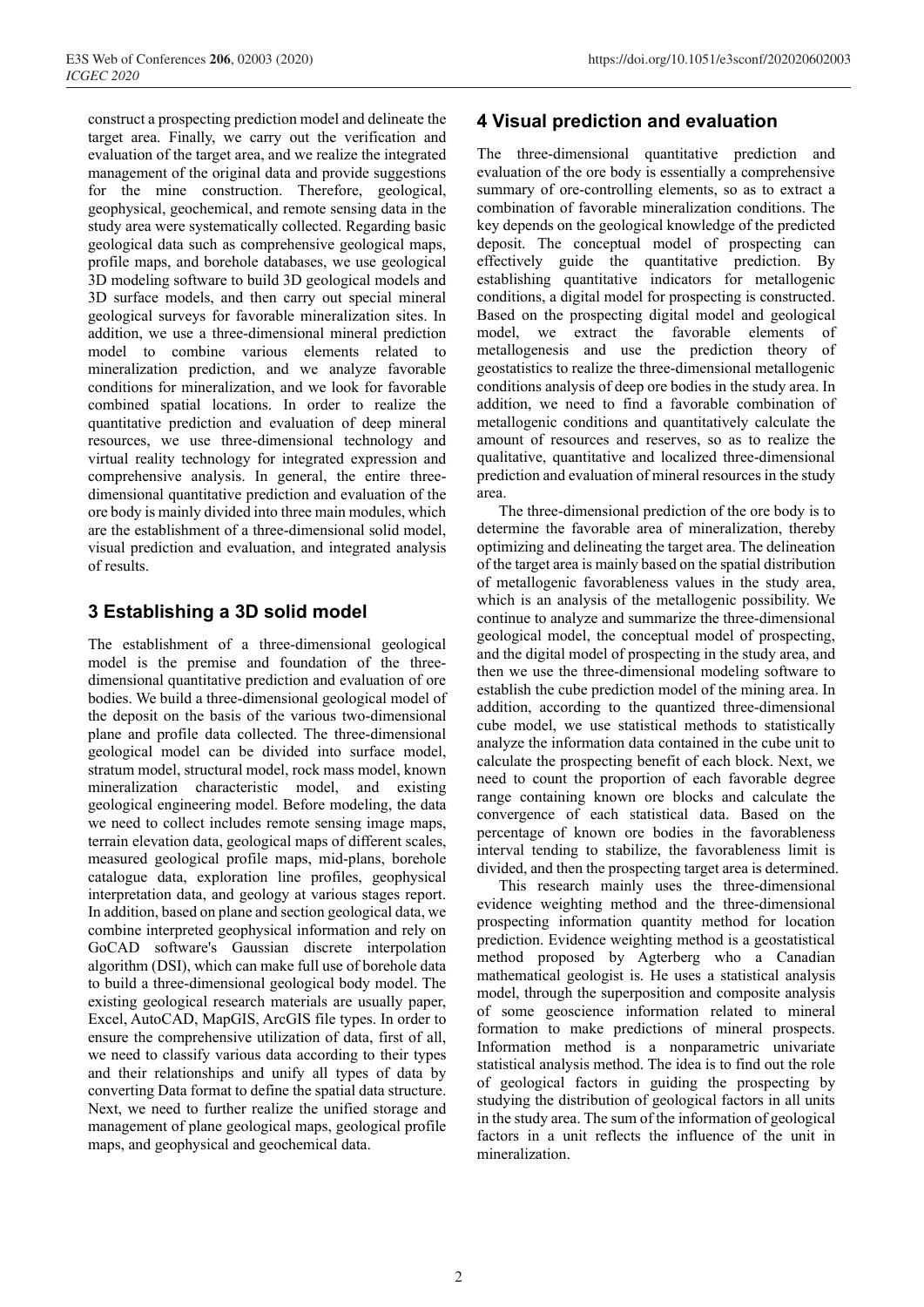construct a prospecting prediction model and delineate the target area. Finally, we carry out the verification and evaluation of the target area, and we realize the integrated management of the original data and provide suggestions for the mine construction. Therefore, geological, geophysical, geochemical, and remote sensing data in the study area were systematically collected. Regarding basic geological data such as comprehensive geological maps, profile maps, and borehole databases, we use geological 3D modeling software to build 3D geological models and 3D surface models, and then carry out special mineral geological surveys for favorable mineralization sites. In addition, we use a three-dimensional mineral prediction model to combine various elements related to mineralization prediction, and we analyze favorable conditions for mineralization, and we look for favorable combined spatial locations. In order to realize the quantitative prediction and evaluation of deep mineral resources, we use three-dimensional technology and virtual reality technology for integrated expression and comprehensive analysis. In general, the entire threedimensional quantitative prediction and evaluation of the ore body is mainly divided into three main modules, which are the establishment of a three-dimensional solid model, visual prediction and evaluation, and integrated analysis of results.

#### **3 Establishing a 3D solid model**

The establishment of a three-dimensional geological model is the premise and foundation of the threedimensional quantitative prediction and evaluation of ore bodies. We build a three-dimensional geological model of the deposit on the basis of the various two-dimensional plane and profile data collected. The three-dimensional geological model can be divided into surface model, stratum model, structural model, rock mass model, known mineralization characteristic model, and existing geological engineering model. Before modeling, the data we need to collect includes remote sensing image maps, terrain elevation data, geological maps of different scales, measured geological profile maps, mid-plans, borehole catalogue data, exploration line profiles, geophysical interpretation data, and geology at various stages report. In addition, based on plane and section geological data, we combine interpreted geophysical information and rely on GoCAD software's Gaussian discrete interpolation algorithm (DSI), which can make full use of borehole data to build a three-dimensional geological body model. The existing geological research materials are usually paper, Excel, AutoCAD, MapGIS, ArcGIS file types. In order to ensure the comprehensive utilization of data, first of all, we need to classify various data according to their types and their relationships and unify all types of data by converting Data format to define the spatial data structure. Next, we need to further realize the unified storage and management of plane geological maps, geological profile maps, and geophysical and geochemical data.

# **4 Visual prediction and evaluation**

The three-dimensional quantitative prediction and evaluation of the ore body is essentially a comprehensive summary of ore-controlling elements, so as to extract a combination of favorable mineralization conditions. The key depends on the geological knowledge of the predicted deposit. The conceptual model of prospecting can effectively guide the quantitative prediction. By establishing quantitative indicators for metallogenic conditions, a digital model for prospecting is constructed. Based on the prospecting digital model and geological model, we extract the favorable elements of metallogenesis and use the prediction theory of geostatistics to realize the three-dimensional metallogenic conditions analysis of deep ore bodies in the study area. In addition, we need to find a favorable combination of metallogenic conditions and quantitatively calculate the amount of resources and reserves, so as to realize the qualitative, quantitative and localized three-dimensional prediction and evaluation of mineral resources in the study area.

The three-dimensional prediction of the ore body is to determine the favorable area of mineralization, thereby optimizing and delineating the target area. The delineation of the target area is mainly based on the spatial distribution of metallogenic favorableness values in the study area, which is an analysis of the metallogenic possibility. We continue to analyze and summarize the three-dimensional geological model, the conceptual model of prospecting, and the digital model of prospecting in the study area, and then we use the three-dimensional modeling software to establish the cube prediction model of the mining area. In addition, according to the quantized three-dimensional cube model, we use statistical methods to statistically analyze the information data contained in the cube unit to calculate the prospecting benefit of each block. Next, we need to count the proportion of each favorable degree range containing known ore blocks and calculate the convergence of each statistical data. Based on the percentage of known ore bodies in the favorableness interval tending to stabilize, the favorableness limit is divided, and then the prospecting target area is determined.

This research mainly uses the three-dimensional evidence weighting method and the three-dimensional prospecting information quantity method for location prediction. Evidence weighting method is a geostatistical method proposed by Agterberg who a Canadian mathematical geologist is. He uses a statistical analysis model, through the superposition and composite analysis of some geoscience information related to mineral formation to make predictions of mineral prospects. Information method is a nonparametric univariate statistical analysis method. The idea is to find out the role of geological factors in guiding the prospecting by studying the distribution of geological factors in all units in the study area. The sum of the information of geological factors in a unit reflects the influence of the unit in mineralization.